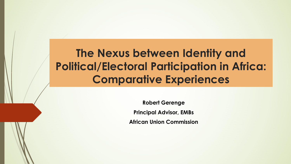### **The Nexus between Identity and Political/Electoral Participation in Africa: Comparative Experiences**

**Robert Gerenge Principal Advisor, EMBs African Union Commission**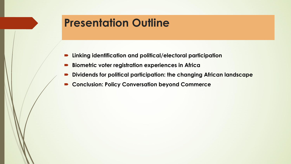#### **Presentation Outline**

- **Linking identification and political/electoral participation**
- **Biometric voter registration experiences in Africa**
- **Dividends for political participation: the changing African landscape**
- **Conclusion: Policy Conversation beyond Commerce**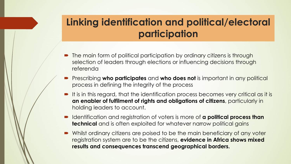#### **Linking identification and political/electoral participation**

- The main form of political participation by ordinary citizens is through selection of leaders through elections or influencing decisions through referenda
- Prescribing **who participates** and **who does not** is important in any political process in defining the integrity of the process
- It is in this regard, that the identification process becomes very critical as it is **an enabler of fulfilment of rights and obligations of citizens**, particularly in holding leaders to account.
- Identification and registration of voters is more of **a political process than technical** and is often exploited for whatever narrow political gains
- Whilst ordinary citizens are poised to be the main beneficiary of any voter registration system are to be the citizens, **evidence in Africa shows mixed results and consequences transcend geographical borders.**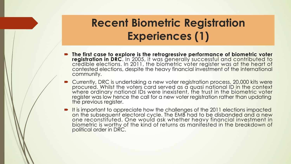# **Recent Biometric Registration Experiences (1)**

- **The first case to explore is the retrogressive performance of biometric voter registration in DRC**. In 2005, it was generally successful and contributed to credible elections. In 2011, the biometric voter register was at the heart of contested elections, despite the heavy financial investment of the international community.
- Currently, DRC is undertaking a new voter registration process, 20,000 kits were procured. Whilst the voters card served as a quasi national ID in the context the state of where ordinary national IDs were inexistent, the trust in the biometric voter register was low hence the call for a new voter registration rather than updating the previous register.
- It is important to appreciate how the challenges of the 2011 elections impacted on the subsequent electoral cycle. The EMB had to be disbanded and a new one reconstituted. One would ask whether heavy financial investment in biometric is worthy of the kind of returns as manifested in the breakdown of political order in DRC.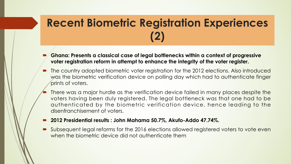## **Recent Biometric Registration Experiences (2)**

- **Ghana: Presents a classical case of legal bottlenecks within a context ofprogressive voter registration reform in attempt to enhance the integrity of the voter register.**
- The country adopted biometric voter registration for the 2012 elections. Also introduced was the biometric verification device on polling day which had to authenticate finger prints of voters.
- There was a major hurdle as the verification device failed in many places despite the voters having been duly registered. The legal bottleneck was that one had to be authenticated by the biometric verification device, hence leading to the disenfranchisement of voters.
- **2012 Presidential results : John Mahama 50.7%, Akufo-Addo 47.74%.**
- Subsequent legal reforms for the 2016 elections allowed registered voters to vote even when the biometric device did not authenticate them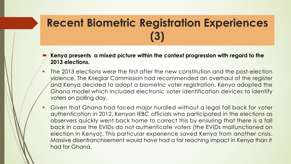## **Recent Biometric Registration Experiences (3)**

- **Kenya presents a mixed picture within the context progression with regard to the 2013 elections.**
- The 2013 elections were the first after the new constitution and the post-election violence. The Krieglar Commission had recommended an overhaul of the register and Kenya decided to adopt a biometric voter registration. Kenya adopted the Ghana model which included electronic voter identification devices to identify voters on polling day.
- § Given that Ghana had faced major hurdled without a legal fall back for voter authentication in 2012, Kenyan IEBC officials who participated in the elections as observers quickly went back home to correct this by ensuring that there is a fall back in case the EVIDs do not authenticate voters (the EVIDs malfunctioned on election in Kenya). This particular experience saved Kenya from another crisis. Massive disenfranchisement would have had a far reaching impact in Kenya than it had for Ghana.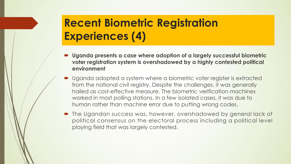## **Recent Biometric Registration Experiences (4)**

- **Uganda presents a case where adoption of a largely successful biometric voter registration system is overshadowed bya highly contested political environment**
- Uganda adopted a system where a biometric voter register is extracted from the national civil registry. Despite the challenges, it was generally hailed as cost-effective measure. The biometric verification machines worked in most polling stations. In a few isolated cases, it was due to human rather than machine error due to putting wrong codes.
- The Ugandan success was, however, overshadowed by general lack of political consensus on the electoral process including a political level playing field that was largely contested.